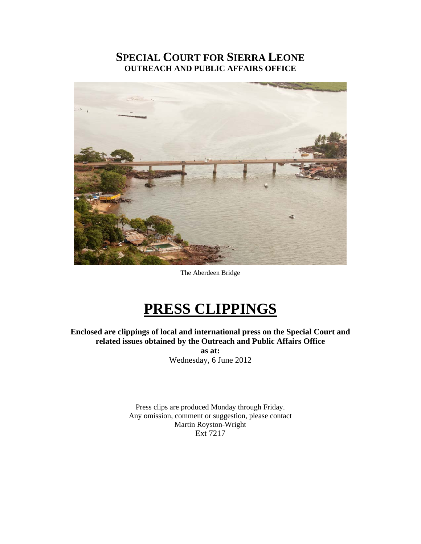# **SPECIAL COURT FOR SIERRA LEONE OUTREACH AND PUBLIC AFFAIRS OFFICE**



The Aberdeen Bridge

# **PRESS CLIPPINGS**

**Enclosed are clippings of local and international press on the Special Court and related issues obtained by the Outreach and Public Affairs Office** 

> **as at:**  Wednesday, 6 June 2012

Press clips are produced Monday through Friday. Any omission, comment or suggestion, please contact Martin Royston-Wright Ext 7217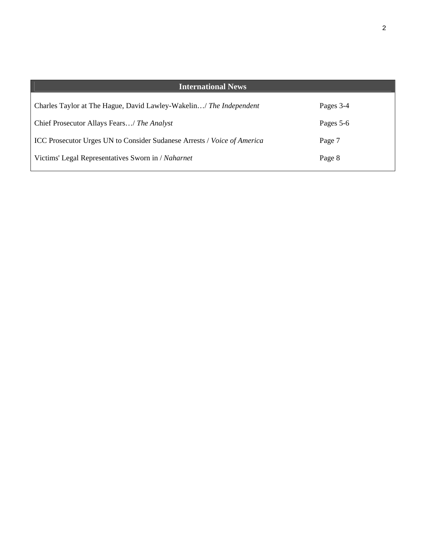| <b>International News</b>                                               |           |
|-------------------------------------------------------------------------|-----------|
| Charles Taylor at The Hague, David Lawley-Wakelin/ The Independent      | Pages 3-4 |
| Chief Prosecutor Allays Fears/ The Analyst                              | Pages 5-6 |
| ICC Prosecutor Urges UN to Consider Sudanese Arrests / Voice of America | Page 7    |
| Victims' Legal Representatives Sworn in / Naharnet                      | Page 8    |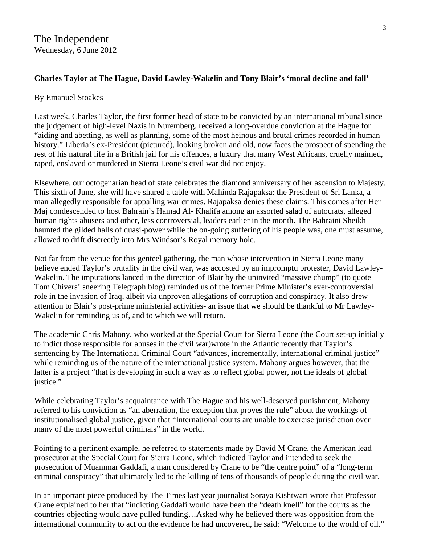# **Charles Taylor at The Hague, David Lawley-Wakelin and Tony Blair's 'moral decline and fall'**

#### By Emanuel Stoakes

Last week, Charles Taylor, the first former head of state to be convicted by an international tribunal since the judgement of high-level Nazis in Nuremberg, received a long-overdue conviction at the Hague for "aiding and abetting, as well as planning, some of the most heinous and brutal crimes recorded in human history." Liberia's ex-President (pictured), looking broken and old, now faces the prospect of spending the rest of his natural life in a British jail for his offences, a luxury that many West Africans, cruelly maimed, raped, enslaved or murdered in Sierra Leone's civil war did not enjoy.

Elsewhere, our octogenarian head of state celebrates the diamond anniversary of her ascension to Majesty. This sixth of June, she will have shared a table with Mahinda Rajapaksa: the President of Sri Lanka, a man allegedly responsible for appalling war crimes. Rajapaksa denies these claims. This comes after Her Maj condescended to host Bahrain's Hamad Al- Khalifa among an assorted salad of autocrats, alleged human rights abusers and other, less controversial, leaders earlier in the month. The Bahraini Sheikh haunted the gilded halls of quasi-power while the on-going suffering of his people was, one must assume, allowed to drift discreetly into Mrs Windsor's Royal memory hole.

Not far from the venue for this genteel gathering, the man whose intervention in Sierra Leone many believe ended Taylor's brutality in the civil war, was accosted by an impromptu protester, David Lawley-Wakelin. The imputations lanced in the direction of Blair by the uninvited "massive chump" (to quote Tom Chivers' sneering Telegraph blog) reminded us of the former Prime Minister's ever-controversial role in the invasion of Iraq, albeit via unproven allegations of corruption and conspiracy. It also drew attention to Blair's post-prime ministerial activities- an issue that we should be thankful to Mr Lawley-Wakelin for reminding us of, and to which we will return.

The academic Chris Mahony, who worked at the Special Court for Sierra Leone (the Court set-up initially to indict those responsible for abuses in the civil war)wrote in the Atlantic recently that Taylor's sentencing by The International Criminal Court "advances, incrementally, international criminal justice" while reminding us of the nature of the international justice system. Mahony argues however, that the latter is a project "that is developing in such a way as to reflect global power, not the ideals of global justice."

While celebrating Taylor's acquaintance with The Hague and his well-deserved punishment, Mahony referred to his conviction as "an aberration, the exception that proves the rule" about the workings of institutionalised global justice, given that "International courts are unable to exercise jurisdiction over many of the most powerful criminals" in the world.

Pointing to a pertinent example, he referred to statements made by David M Crane, the American lead prosecutor at the Special Court for Sierra Leone, which indicted Taylor and intended to seek the prosecution of Muammar Gaddafi, a man considered by Crane to be "the centre point" of a "long-term criminal conspiracy" that ultimately led to the killing of tens of thousands of people during the civil war.

In an important piece produced by The Times last year journalist Soraya Kishtwari wrote that Professor Crane explained to her that "indicting Gaddafi would have been the "death knell" for the courts as the countries objecting would have pulled funding…Asked why he believed there was opposition from the international community to act on the evidence he had uncovered, he said: "Welcome to the world of oil."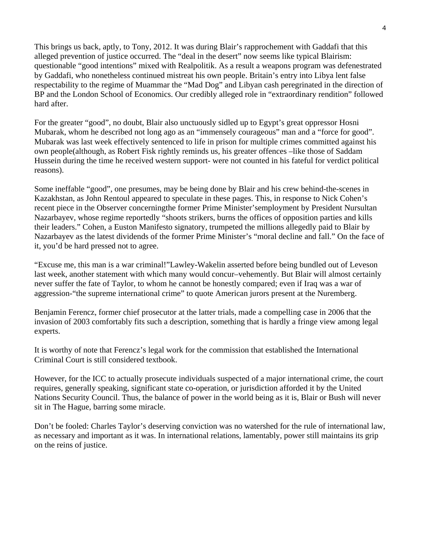This brings us back, aptly, to Tony, 2012. It was during Blair's rapprochement with Gaddafi that this alleged prevention of justice occurred. The "deal in the desert" now seems like typical Blairism: questionable "good intentions" mixed with Realpolitik. As a result a weapons program was defenestrated by Gaddafi, who nonetheless continued mistreat his own people. Britain's entry into Libya lent false respectability to the regime of Muammar the "Mad Dog" and Libyan cash peregrinated in the direction of BP and the London School of Economics. Our credibly alleged role in "extraordinary rendition" followed hard after.

For the greater "good", no doubt, Blair also unctuously sidled up to Egypt's great oppressor Hosni Mubarak, whom he described not long ago as an "immensely courageous" man and a "force for good". Mubarak was last week effectively sentenced to life in prison for multiple crimes committed against his own people(although, as Robert Fisk rightly reminds us, his greater offences –like those of Saddam Hussein during the time he received western support- were not counted in his fateful for verdict political reasons).

Some ineffable "good", one presumes, may be being done by Blair and his crew behind-the-scenes in Kazakhstan, as John Rentoul appeared to speculate in these pages. This, in response to Nick Cohen's recent piece in the Observer concerningthe former Prime Minister'semployment by President Nursultan Nazarbayev, whose regime reportedly "shoots strikers, burns the offices of opposition parties and kills their leaders." Cohen, a Euston Manifesto signatory, trumpeted the millions allegedly paid to Blair by Nazarbayev as the latest dividends of the former Prime Minister's "moral decline and fall." On the face of it, you'd be hard pressed not to agree.

"Excuse me, this man is a war criminal!"Lawley-Wakelin asserted before being bundled out of Leveson last week, another statement with which many would concur–vehemently. But Blair will almost certainly never suffer the fate of Taylor, to whom he cannot be honestly compared; even if Iraq was a war of aggression-"the supreme international crime" to quote American jurors present at the Nuremberg.

Benjamin Ferencz, former chief prosecutor at the latter trials, made a compelling case in 2006 that the invasion of 2003 comfortably fits such a description, something that is hardly a fringe view among legal experts.

It is worthy of note that Ferencz's legal work for the commission that established the International Criminal Court is still considered textbook.

However, for the ICC to actually prosecute individuals suspected of a major international crime, the court requires, generally speaking, significant state co-operation, or jurisdiction afforded it by the United Nations Security Council. Thus, the balance of power in the world being as it is, Blair or Bush will never sit in The Hague, barring some miracle.

Don't be fooled: Charles Taylor's deserving conviction was no watershed for the rule of international law, as necessary and important as it was. In international relations, lamentably, power still maintains its grip on the reins of justice.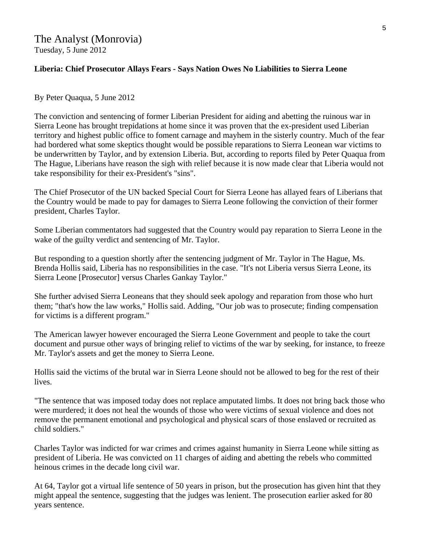## **Liberia: Chief Prosecutor Allays Fears - Says Nation Owes No Liabilities to Sierra Leone**

#### By Peter Quaqua, 5 June 2012

The conviction and sentencing of former Liberian President for aiding and abetting the ruinous war in Sierra Leone has brought trepidations at home since it was proven that the ex-president used Liberian territory and highest public office to foment carnage and mayhem in the sisterly country. Much of the fear had bordered what some skeptics thought would be possible reparations to Sierra Leonean war victims to be underwritten by Taylor, and by extension Liberia. But, according to reports filed by Peter Quaqua from The Hague, Liberians have reason the sigh with relief because it is now made clear that Liberia would not take responsibility for their ex-President's "sins".

The Chief Prosecutor of the UN backed Special Court for Sierra Leone has allayed fears of Liberians that the Country would be made to pay for damages to Sierra Leone following the conviction of their former president, Charles Taylor.

Some Liberian commentators had suggested that the Country would pay reparation to Sierra Leone in the wake of the guilty verdict and sentencing of Mr. Taylor.

But responding to a question shortly after the sentencing judgment of Mr. Taylor in The Hague, Ms. Brenda Hollis said, Liberia has no responsibilities in the case. "It's not Liberia versus Sierra Leone, its Sierra Leone [Prosecutor] versus Charles Gankay Taylor."

She further advised Sierra Leoneans that they should seek apology and reparation from those who hurt them; "that's how the law works," Hollis said. Adding, "Our job was to prosecute; finding compensation for victims is a different program."

The American lawyer however encouraged the Sierra Leone Government and people to take the court document and pursue other ways of bringing relief to victims of the war by seeking, for instance, to freeze Mr. Taylor's assets and get the money to Sierra Leone.

Hollis said the victims of the brutal war in Sierra Leone should not be allowed to beg for the rest of their lives.

"The sentence that was imposed today does not replace amputated limbs. It does not bring back those who were murdered; it does not heal the wounds of those who were victims of sexual violence and does not remove the permanent emotional and psychological and physical scars of those enslaved or recruited as child soldiers."

Charles Taylor was indicted for war crimes and crimes against humanity in Sierra Leone while sitting as president of Liberia. He was convicted on 11 charges of aiding and abetting the rebels who committed heinous crimes in the decade long civil war.

At 64, Taylor got a virtual life sentence of 50 years in prison, but the prosecution has given hint that they might appeal the sentence, suggesting that the judges was lenient. The prosecution earlier asked for 80 years sentence.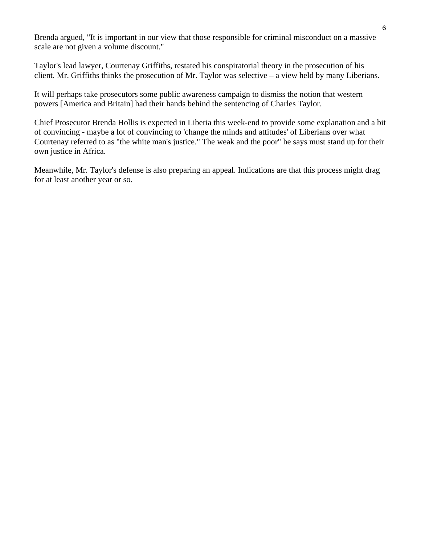Brenda argued, "It is important in our view that those responsible for criminal misconduct on a massive scale are not given a volume discount."

Taylor's lead lawyer, Courtenay Griffiths, restated his conspiratorial theory in the prosecution of his client. Mr. Griffiths thinks the prosecution of Mr. Taylor was selective – a view held by many Liberians.

It will perhaps take prosecutors some public awareness campaign to dismiss the notion that western powers [America and Britain] had their hands behind the sentencing of Charles Taylor.

Chief Prosecutor Brenda Hollis is expected in Liberia this week-end to provide some explanation and a bit of convincing - maybe a lot of convincing to 'change the minds and attitudes' of Liberians over what Courtenay referred to as "the white man's justice." The weak and the poor" he says must stand up for their own justice in Africa.

Meanwhile, Mr. Taylor's defense is also preparing an appeal. Indications are that this process might drag for at least another year or so.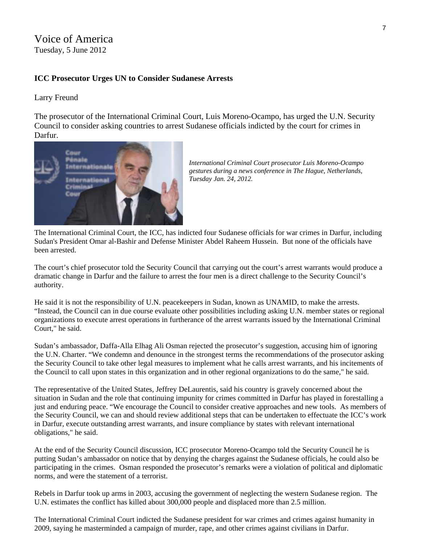# Voice of America Tuesday, 5 June 2012

#### **ICC Prosecutor Urges UN to Consider Sudanese Arrests**

#### Larry Freund

The prosecutor of the International Criminal Court, Luis Moreno-Ocampo, has urged the U.N. Security Council to consider asking countries to arrest Sudanese officials indicted by the court for crimes in Darfur.



*International Criminal Court prosecutor Luis Moreno-Ocampo gestures during a news conference in The Hague, Netherlands, Tuesday Jan. 24, 2012.* 

The International Criminal Court, the ICC, has indicted four Sudanese officials for war crimes in Darfur, including Sudan's President Omar al-Bashir and Defense Minister Abdel Raheem Hussein. But none of the officials have been arrested.

The court's chief prosecutor told the Security Council that carrying out the court's arrest warrants would produce a dramatic change in Darfur and the failure to arrest the four men is a direct challenge to the Security Council's authority.

He said it is not the responsibility of U.N. peacekeepers in Sudan, known as UNAMID, to make the arrests. "Instead, the Council can in due course evaluate other possibilities including asking U.N. member states or regional organizations to execute arrest operations in furtherance of the arrest warrants issued by the International Criminal Court," he said.

Sudan's ambassador, Daffa-Alla Elhag Ali Osman rejected the prosecutor's suggestion, accusing him of ignoring the U.N. Charter. "We condemn and denounce in the strongest terms the recommendations of the prosecutor asking the Security Council to take other legal measures to implement what he calls arrest warrants, and his incitements of the Council to call upon states in this organization and in other regional organizations to do the same," he said.

The representative of the United States, Jeffrey DeLaurentis, said his country is gravely concerned about the situation in Sudan and the role that continuing impunity for crimes committed in Darfur has played in forestalling a just and enduring peace. "We encourage the Council to consider creative approaches and new tools. As members of the Security Council, we can and should review additional steps that can be undertaken to effectuate the ICC's work in Darfur, execute outstanding arrest warrants, and insure compliance by states with relevant international obligations," he said.

At the end of the Security Council discussion, ICC prosecutor Moreno-Ocampo told the Security Council he is putting Sudan's ambassador on notice that by denying the charges against the Sudanese officials, he could also be participating in the crimes. Osman responded the prosecutor's remarks were a violation of political and diplomatic norms, and were the statement of a terrorist.

Rebels in Darfur took up arms in 2003, accusing the government of neglecting the western Sudanese region. The U.N. estimates the conflict has killed about 300,000 people and displaced more than 2.5 million.

The International Criminal Court indicted the Sudanese president for war crimes and crimes against humanity in 2009, saying he masterminded a campaign of murder, rape, and other crimes against civilians in Darfur.